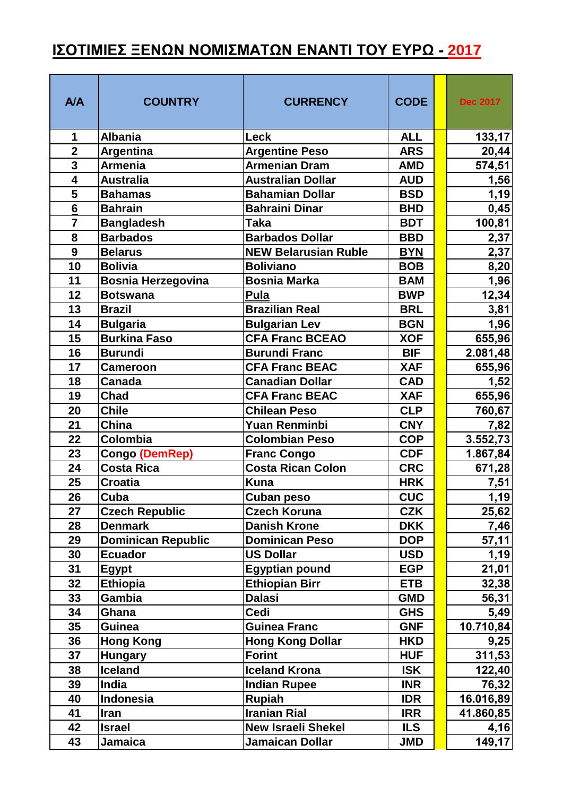## <u>ΙΣΟΤΙΜΙΕΣ ΞΕΝΩΝ ΝΟΜΙΣΜΑΤΩΝ ΕΝΑΝΤΙ ΤΟΥ ΕΥΡΩ - 2017</u>

| <b>A/A</b>              | <b>COUNTRY</b>            | <b>CURRENCY</b>             | <b>CODE</b> | <b>Dec 2017</b> |
|-------------------------|---------------------------|-----------------------------|-------------|-----------------|
| 1                       | <b>Albania</b>            | <b>Leck</b>                 | <b>ALL</b>  | 133, 17         |
| $\overline{2}$          | <b>Argentina</b>          | <b>Argentine Peso</b>       | <b>ARS</b>  | 20,44           |
| 3                       | <b>Armenia</b>            | <b>Armenian Dram</b>        | <b>AMD</b>  | 574,51          |
| $\overline{\mathbf{4}}$ | <b>Australia</b>          | <b>Australian Dollar</b>    | <b>AUD</b>  | 1,56            |
| 5                       | <b>Bahamas</b>            | <b>Bahamian Dollar</b>      | <b>BSD</b>  | 1,19            |
| $6\overline{6}$         | <b>Bahrain</b>            | <b>Bahraini Dinar</b>       | <b>BHD</b>  | 0,45            |
| $\overline{7}$          | <b>Bangladesh</b>         | <b>Taka</b>                 | <b>BDT</b>  | 100,81          |
| 8                       | <b>Barbados</b>           | <b>Barbados Dollar</b>      | <b>BBD</b>  | 2,37            |
| 9                       | <b>Belarus</b>            | <b>NEW Belarusian Ruble</b> | <b>BYN</b>  | 2,37            |
| 10                      | <b>Bolivia</b>            | <b>Boliviano</b>            | <b>BOB</b>  | 8,20            |
| 11                      | <b>Bosnia Herzegovina</b> | <b>Bosnia Marka</b>         | <b>BAM</b>  | 1,96            |
| 12                      | <b>Botswana</b>           | Pula                        | <b>BWP</b>  | 12,34           |
| 13                      | <b>Brazil</b>             | <b>Brazilian Real</b>       | <b>BRL</b>  | 3,81            |
| 14                      | <b>Bulgaria</b>           | <b>Bulgarian Lev</b>        | <b>BGN</b>  | 1,96            |
| 15                      | <b>Burkina Faso</b>       | <b>CFA Franc BCEAO</b>      | <b>XOF</b>  | 655,96          |
| 16                      | <b>Burundi</b>            | <b>Burundi Franc</b>        | <b>BIF</b>  | 2.081,48        |
| 17                      | <b>Cameroon</b>           | <b>CFA Franc BEAC</b>       | <b>XAF</b>  | 655,96          |
| 18                      | <b>Canada</b>             | <b>Canadian Dollar</b>      | <b>CAD</b>  | 1,52            |
| 19                      | <b>Chad</b>               | <b>CFA Franc BEAC</b>       | <b>XAF</b>  | 655,96          |
| 20                      | <b>Chile</b>              | <b>Chilean Peso</b>         | <b>CLP</b>  | 760,67          |
| 21                      | China                     | <b>Yuan Renminbi</b>        | <b>CNY</b>  | 7,82            |
| 22                      | Colombia                  | <b>Colombian Peso</b>       | <b>COP</b>  | 3.552,73        |
| 23                      | Congo (DemRep)            | <b>Franc Congo</b>          | <b>CDF</b>  | 1.867,84        |
| 24                      | <b>Costa Rica</b>         | <b>Costa Rican Colon</b>    | <b>CRC</b>  | 671,28          |
| 25                      | <b>Croatia</b>            | <b>Kuna</b>                 | <b>HRK</b>  | 7,51            |
| 26                      | Cuba                      | <b>Cuban peso</b>           | <b>CUC</b>  | 1,19            |
| 27                      | <b>Czech Republic</b>     | <b>Czech Koruna</b>         | <b>CZK</b>  | 25,62           |
| 28                      | <b>Denmark</b>            | <b>Danish Krone</b>         | <b>DKK</b>  | 7,46            |
| 29                      | <b>Dominican Republic</b> | <b>Dominican Peso</b>       | <b>DOP</b>  | 57,11           |
| 30                      | <b>Ecuador</b>            | <b>US Dollar</b>            | <b>USD</b>  | 1,19            |
| 31                      | <b>Egypt</b>              | <b>Egyptian pound</b>       | <b>EGP</b>  | 21,01           |
| 32                      | <b>Ethiopia</b>           | <b>Ethiopian Birr</b>       | <b>ETB</b>  | 32,38           |
| 33                      | <b>Gambia</b>             | <b>Dalasi</b>               | <b>GMD</b>  | 56,31           |
| 34                      | Ghana                     | Cedi                        | <b>GHS</b>  | 5,49            |
| 35                      | Guinea                    | <b>Guinea Franc</b>         | <b>GNF</b>  | 10.710,84       |
| 36                      | <b>Hong Kong</b>          | <b>Hong Kong Dollar</b>     | <b>HKD</b>  | 9,25            |
| 37                      | <b>Hungary</b>            | <b>Forint</b>               | <b>HUF</b>  | 311,53          |
| 38                      | <b>Iceland</b>            | <b>Iceland Krona</b>        | <b>ISK</b>  | 122,40          |
| 39                      | <b>India</b>              | <b>Indian Rupee</b>         | <b>INR</b>  | 76,32           |
| 40                      | Indonesia                 | <b>Rupiah</b>               | <b>IDR</b>  | 16.016,89       |
| 41                      | <b>Iran</b>               | <b>Iranian Rial</b>         | <b>IRR</b>  | 41.860,85       |
| 42                      | <b>Israel</b>             | <b>New Israeli Shekel</b>   | <b>ILS</b>  | 4,16            |
| 43                      | Jamaica                   | Jamaican Dollar             | <b>JMD</b>  | 149,17          |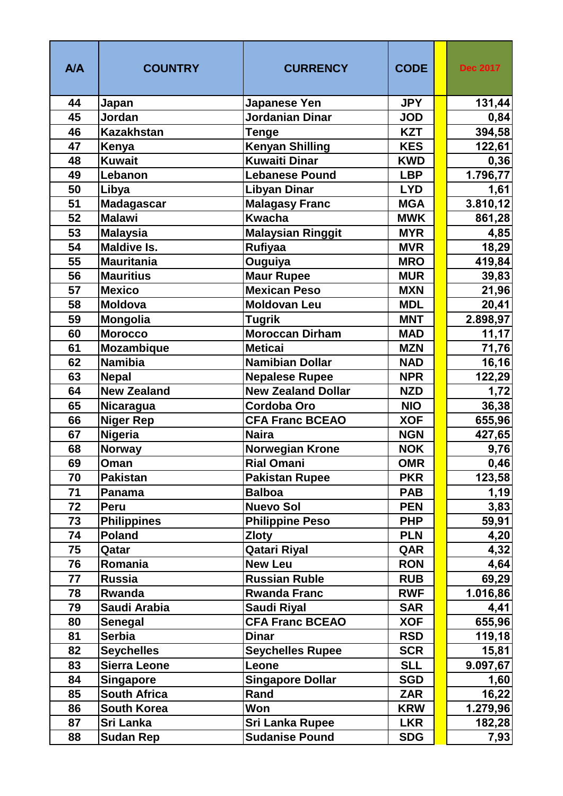| <b>A/A</b> | <b>COUNTRY</b>      | <b>CURRENCY</b>           | <b>CODE</b> | <b>Dec 2017</b> |
|------------|---------------------|---------------------------|-------------|-----------------|
| 44         | Japan               | Japanese Yen              | <b>JPY</b>  | 131,44          |
| 45         | Jordan              | <b>Jordanian Dinar</b>    | <b>JOD</b>  | 0,84            |
| 46         | <b>Kazakhstan</b>   | Tenge                     | <b>KZT</b>  | 394,58          |
| 47         | Kenya               | <b>Kenyan Shilling</b>    | <b>KES</b>  | 122,61          |
| 48         | <b>Kuwait</b>       | <b>Kuwaiti Dinar</b>      | <b>KWD</b>  | 0,36            |
| 49         | Lebanon             | <b>Lebanese Pound</b>     | <b>LBP</b>  | 1.796,77        |
| 50         | Libya               | <b>Libyan Dinar</b>       | <b>LYD</b>  | 1,61            |
| 51         | <b>Madagascar</b>   | <b>Malagasy Franc</b>     | <b>MGA</b>  | 3.810,12        |
| 52         | <b>Malawi</b>       | <b>Kwacha</b>             | <b>MWK</b>  | 861,28          |
| 53         | <b>Malaysia</b>     | <b>Malaysian Ringgit</b>  | <b>MYR</b>  | 4,85            |
| 54         | <b>Maldive Is.</b>  | <b>Rufiyaa</b>            | <b>MVR</b>  | 18,29           |
| 55         | <b>Mauritania</b>   | Ouguiya                   | <b>MRO</b>  | 419,84          |
| 56         | <b>Mauritius</b>    | <b>Maur Rupee</b>         | <b>MUR</b>  | 39,83           |
| 57         | <b>Mexico</b>       | <b>Mexican Peso</b>       | <b>MXN</b>  | 21,96           |
| 58         | <b>Moldova</b>      | <b>Moldovan Leu</b>       | <b>MDL</b>  | 20,41           |
| 59         | <b>Mongolia</b>     | <b>Tugrik</b>             | <b>MNT</b>  | 2.898,97        |
| 60         | <b>Morocco</b>      | Moroccan Dirham           | <b>MAD</b>  | 11,17           |
| 61         | <b>Mozambique</b>   | <b>Meticai</b>            | <b>MZN</b>  | 71,76           |
| 62         | <b>Namibia</b>      | <b>Namibian Dollar</b>    | <b>NAD</b>  | 16, 16          |
| 63         | <b>Nepal</b>        | <b>Nepalese Rupee</b>     | <b>NPR</b>  | 122,29          |
| 64         | <b>New Zealand</b>  | <b>New Zealand Dollar</b> | <b>NZD</b>  | 1,72            |
| 65         | <b>Nicaragua</b>    | <b>Cordoba Oro</b>        | <b>NIO</b>  | 36,38           |
| 66         | <b>Niger Rep</b>    | <b>CFA Franc BCEAO</b>    | <b>XOF</b>  | 655,96          |
| 67         | <b>Nigeria</b>      | <b>Naira</b>              | <b>NGN</b>  | 427,65          |
| 68         | <b>Norway</b>       | <b>Norwegian Krone</b>    | <b>NOK</b>  | 9,76            |
| 69         | Oman                | <b>Rial Omani</b>         | <b>OMR</b>  | 0,46            |
| 70         | <b>Pakistan</b>     | <b>Pakistan Rupee</b>     | <b>PKR</b>  | 123,58          |
| 71         | Panama              | <b>Balboa</b>             | <b>PAB</b>  | 1,19            |
| 72         | Peru                | <b>Nuevo Sol</b>          | <b>PEN</b>  | 3,83            |
| 73         | <b>Philippines</b>  | <b>Philippine Peso</b>    | <b>PHP</b>  | 59,91           |
| 74         | <b>Poland</b>       | <b>Zloty</b>              | <b>PLN</b>  | 4,20            |
| 75         | Qatar               | Qatari Riyal              | QAR         | 4,32            |
| 76         | Romania             | <b>New Leu</b>            | <b>RON</b>  | 4,64            |
| 77         | <b>Russia</b>       | <b>Russian Ruble</b>      | <b>RUB</b>  | 69,29           |
| 78         | Rwanda              | <b>Rwanda Franc</b>       | <b>RWF</b>  | 1.016,86        |
| 79         | Saudi Arabia        | <b>Saudi Riyal</b>        | <b>SAR</b>  | 4,41            |
| 80         | <b>Senegal</b>      | <b>CFA Franc BCEAO</b>    | <b>XOF</b>  | 655,96          |
| 81         | <b>Serbia</b>       | <b>Dinar</b>              | <b>RSD</b>  | 119,18          |
| 82         | <b>Seychelles</b>   | <b>Seychelles Rupee</b>   | <b>SCR</b>  | 15,81           |
| 83         | <b>Sierra Leone</b> | Leone                     | <b>SLL</b>  | 9.097,67        |
| 84         | <b>Singapore</b>    | <b>Singapore Dollar</b>   | <b>SGD</b>  | 1,60            |
| 85         | <b>South Africa</b> | Rand                      | <b>ZAR</b>  | 16,22           |
| 86         | South Korea         | Won                       | <b>KRW</b>  | 1.279,96        |
| 87         | Sri Lanka           | Sri Lanka Rupee           | <b>LKR</b>  | 182,28          |
| 88         | <b>Sudan Rep</b>    | <b>Sudanise Pound</b>     | <b>SDG</b>  | 7,93            |